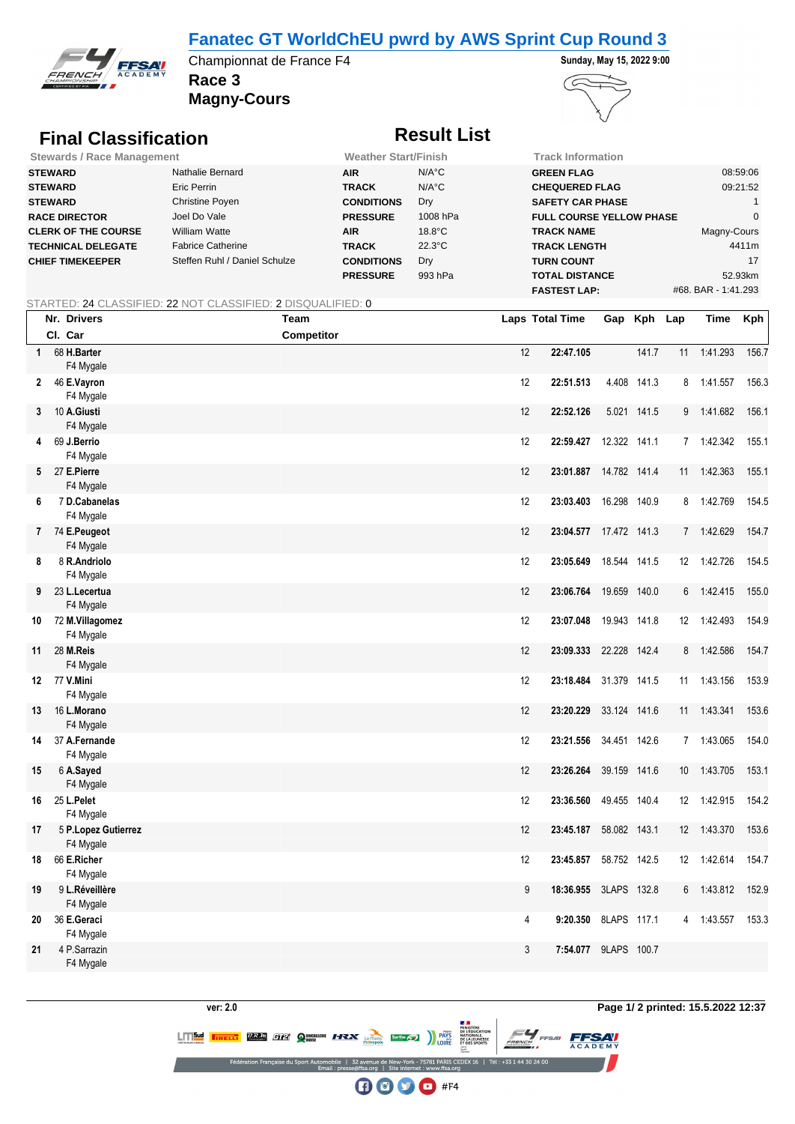## **Fanatec GT WorldChEU pwrd by AWS Sprint Cup Round 3**



**Race 3** Championnat de France F4 **Sunday, May 15, 2022 9:00** 

**Magny-Cours**



# **Final Classification Result List**

| <b>Stewards / Race Management</b> |                               | <b>Weather Start/Finish</b> |                  | Track Information               |                     |
|-----------------------------------|-------------------------------|-----------------------------|------------------|---------------------------------|---------------------|
| <b>STEWARD</b>                    | Nathalie Bernard              | <b>AIR</b>                  | $N/A^{\circ}C$   | <b>GREEN FLAG</b>               | 08:59:06            |
| <b>STEWARD</b>                    | Eric Perrin                   | <b>TRACK</b>                | $N/A^{\circ}C$   | <b>CHEQUERED FLAG</b>           | 09:21:52            |
| <b>STEWARD</b>                    | Christine Poyen               | <b>CONDITIONS</b>           | Dry              | <b>SAFETY CAR PHASE</b>         |                     |
| <b>RACE DIRECTOR</b>              | Joel Do Vale                  | <b>PRESSURE</b>             | 1008 hPa         | <b>FULL COURSE YELLOW PHASE</b> |                     |
| <b>CLERK OF THE COURSE</b>        | William Watte                 | <b>AIR</b>                  | $18.8^{\circ}$ C | <b>TRACK NAME</b>               | Magny-Cours         |
| <b>TECHNICAL DELEGATE</b>         | <b>Fabrice Catherine</b>      | <b>TRACK</b>                | $22.3^{\circ}$ C | <b>TRACK LENGTH</b>             | 4411m               |
| <b>CHIEF TIMEKEEPER</b>           | Steffen Ruhl / Daniel Schulze | <b>CONDITIONS</b>           | Dry              | <b>TURN COUNT</b>               | 17                  |
|                                   |                               | <b>PRESSURE</b>             | 993 hPa          | <b>TOTAL DISTANCE</b>           | 52.93km             |
|                                   |                               |                             |                  | <b>FASTEST LAP:</b>             | #68. BAR - 1:41.293 |

### STARTED: 24 CLASSIFIED: 22 NOT CLASSIFIED: 2 DISQUALIFIED: 0

|              | Nr. Drivers                      | <b>Team</b> |    | Laps Total Time        |              | Gap Kph Lap |                   | Time         | Kph   |
|--------------|----------------------------------|-------------|----|------------------------|--------------|-------------|-------------------|--------------|-------|
|              | Cl. Car                          | Competitor  |    |                        |              |             |                   |              |       |
| $\mathbf{1}$ | 68 H.Barter<br>F4 Mygale         |             | 12 | 22:47.105              |              | 141.7       | 11                | 1:41.293     | 156.7 |
|              | 2 46 E.Vayron<br>F4 Mygale       |             | 12 | 22:51.513              |              | 4.408 141.3 | 8                 | 1:41.557     | 156.3 |
|              | 3 10 A.Giusti<br>F4 Mygale       |             | 12 | 22:52.126              |              | 5.021 141.5 |                   | 9 1:41.682   | 156.1 |
| 4            | 69 J.Berrio<br>F4 Mygale         |             | 12 | 22:59.427 12.322 141.1 |              |             |                   | 7 1:42.342   | 155.1 |
|              | 5 27 E.Pierre<br>F4 Mygale       |             | 12 | 23:01.887 14.782 141.4 |              |             | 11                | 1:42.363     | 155.1 |
| 6            | 7 D.Cabanelas<br>F4 Mygale       |             | 12 | 23:03.403 16.298 140.9 |              |             |                   | 8 1:42.769   | 154.5 |
|              | 7 74 E.Peugeot<br>F4 Mygale      |             | 12 | 23:04.577 17.472 141.3 |              |             |                   | 7 1:42.629   | 154.7 |
| 8            | 8 R.Andriolo<br>F4 Mygale        |             | 12 | 23:05.649              | 18.544 141.5 |             |                   | 12 1:42.726  | 154.5 |
| 9            | 23 L.Lecertua<br>F4 Mygale       |             | 12 | 23:06.764 19.659 140.0 |              |             | 6                 | 1:42.415     | 155.0 |
| 10           | 72 M.Villagomez<br>F4 Mygale     |             | 12 | 23:07.048 19.943 141.8 |              |             | 12 <sup>°</sup>   | 1:42.493     | 154.9 |
| 11           | 28 M.Reis<br>F4 Mygale           |             | 12 | 23:09.333 22.228 142.4 |              |             | 8                 | 1:42.586     | 154.7 |
|              | 12 77 V.Mini<br>F4 Mygale        |             | 12 | 23:18.484 31.379 141.5 |              |             | 11                | 1:43.156     | 153.9 |
| 13           | 16 L.Morano<br>F4 Mygale         |             | 12 | 23:20.229              | 33.124 141.6 |             |                   | 11  1:43.341 | 153.6 |
| 14           | 37 A.Fernande<br>F4 Mygale       |             | 12 | 23:21.556 34.451 142.6 |              |             |                   | 7 1:43.065   | 154.0 |
| 15           | 6 A.Sayed<br>F4 Mygale           |             | 12 | 23:26.264              | 39.159 141.6 |             | 10                | 1:43.705     | 153.1 |
| 16           | 25 L.Pelet<br>F4 Mygale          |             | 12 | 23:36.560 49.455 140.4 |              |             |                   | 12 1:42.915  | 154.2 |
| 17           | 5 P.Lopez Gutierrez<br>F4 Mygale |             | 12 | 23:45.187              | 58.082 143.1 |             | $12 \overline{ }$ | 1:43.370     | 153.6 |
| 18           | 66 E.Richer<br>F4 Mygale         |             | 12 | 23:45.857 58.752 142.5 |              |             |                   | 12 1:42.614  | 154.7 |
| 19           | 9 L.Réveillère<br>F4 Mygale      |             | 9  | 18:36.955              | 3LAPS 132.8  |             | 6                 | 1:43.812     | 152.9 |
| 20           | 36 E.Geraci<br>F4 Mygale         |             | 4  | 9:20.350 8LAPS 117.1   |              |             |                   | 4 1:43.557   | 153.3 |
| 21           | 4 P.Sarrazin<br>F4 Mygale        |             | 3  | 7:54.077 9LAPS 100.7   |              |             |                   |              |       |

**FFSAV** 

CEDEX 16 | Tél: +33 1 44 30 24 00  $\bigoplus$   $\bigoplus$   $\bigoplus$  #F4

**LITTED TREET RANGE CIZY OF THE AUTHOR SERVICE CONSUMING THE RESERVED OF THE AUTHOR CONSUMING SERVED ON THE PRESERVED**